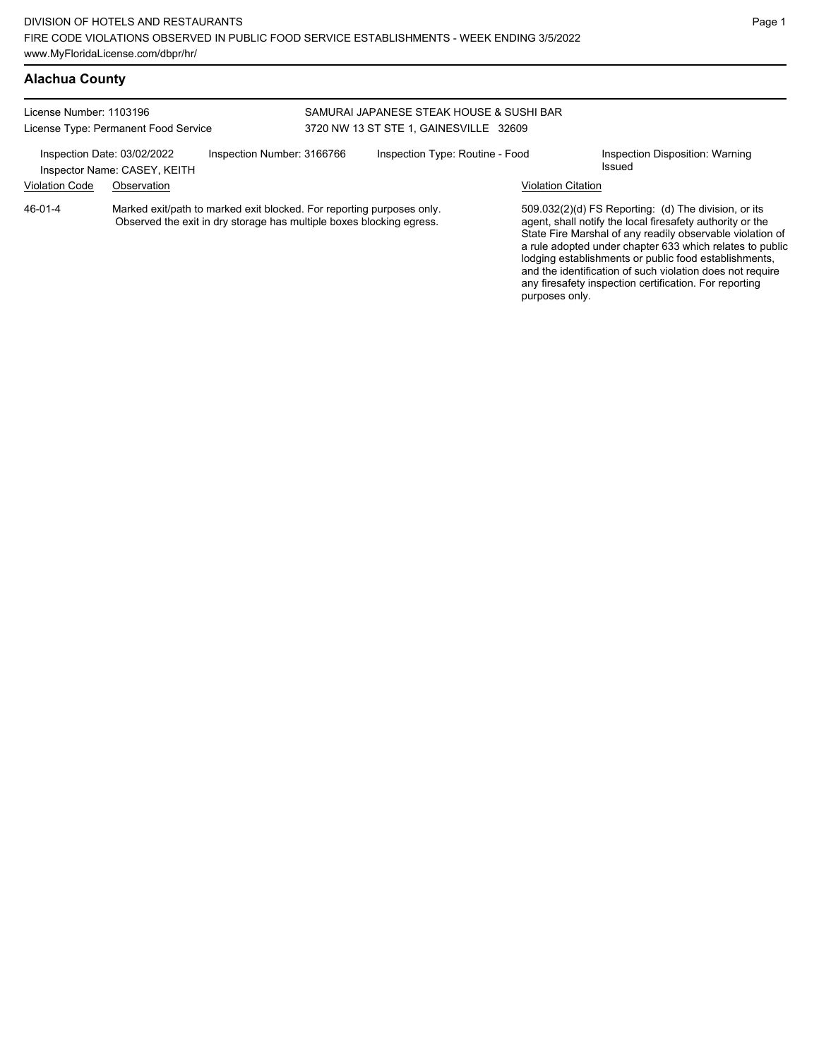| License Number: 1103196              |                                                             |                                                                                                                                               | SAMURAI JAPANESE STEAK HOUSE & SUSHI BAR |                                 |                           |                                                                                                                                                                                                                                                                                                                                                                  |  |
|--------------------------------------|-------------------------------------------------------------|-----------------------------------------------------------------------------------------------------------------------------------------------|------------------------------------------|---------------------------------|---------------------------|------------------------------------------------------------------------------------------------------------------------------------------------------------------------------------------------------------------------------------------------------------------------------------------------------------------------------------------------------------------|--|
| License Type: Permanent Food Service |                                                             | 3720 NW 13 ST STE 1, GAINESVILLE 32609                                                                                                        |                                          |                                 |                           |                                                                                                                                                                                                                                                                                                                                                                  |  |
|                                      | Inspection Date: 03/02/2022<br>Inspector Name: CASEY, KEITH | Inspection Number: 3166766                                                                                                                    |                                          | Inspection Type: Routine - Food |                           | Inspection Disposition: Warning<br>Issued                                                                                                                                                                                                                                                                                                                        |  |
| <b>Violation Code</b>                | Observation                                                 |                                                                                                                                               |                                          |                                 | <b>Violation Citation</b> |                                                                                                                                                                                                                                                                                                                                                                  |  |
| 46-01-4                              |                                                             | Marked exit/path to marked exit blocked. For reporting purposes only.<br>Observed the exit in dry storage has multiple boxes blocking egress. |                                          |                                 |                           | 509.032(2)(d) FS Reporting: (d) The division, or its<br>agent, shall notify the local firesafety authority or the<br>State Fire Marshal of any readily observable violation of<br>a rule adopted under chapter 633 which relates to public<br>lodging establishments or public food establishments,<br>and the identification of such violation does not require |  |

any firesafety inspection certification. For reporting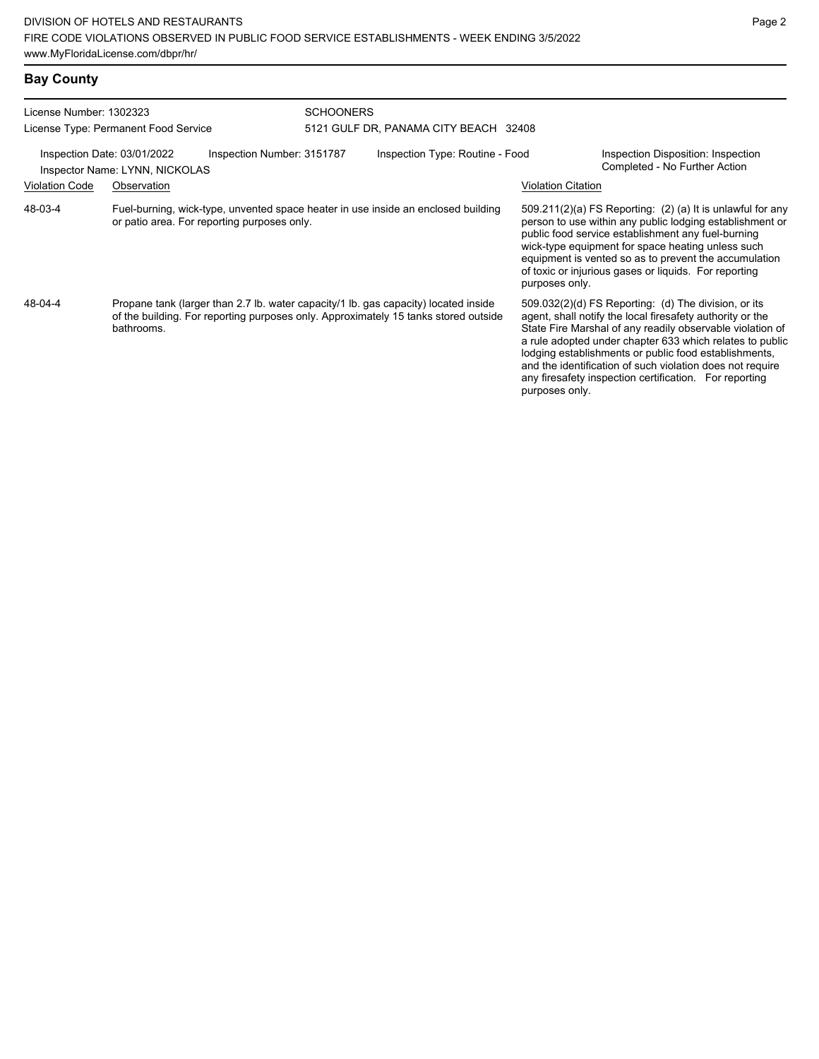| License Number: 1302323 |                                                                                                                                                                                          | <b>SCHOONERS</b>                                                                                                                 |                                       |                           |                                                                                                                                                                                                                                                                                                                                                                                                                            |  |  |
|-------------------------|------------------------------------------------------------------------------------------------------------------------------------------------------------------------------------------|----------------------------------------------------------------------------------------------------------------------------------|---------------------------------------|---------------------------|----------------------------------------------------------------------------------------------------------------------------------------------------------------------------------------------------------------------------------------------------------------------------------------------------------------------------------------------------------------------------------------------------------------------------|--|--|
|                         | License Type: Permanent Food Service                                                                                                                                                     |                                                                                                                                  | 5121 GULF DR, PANAMA CITY BEACH 32408 |                           |                                                                                                                                                                                                                                                                                                                                                                                                                            |  |  |
|                         | Inspection Date: 03/01/2022<br>Inspection Number: 3151787<br>Inspector Name: LYNN, NICKOLAS                                                                                              |                                                                                                                                  | Inspection Type: Routine - Food       |                           | Inspection Disposition: Inspection<br>Completed - No Further Action                                                                                                                                                                                                                                                                                                                                                        |  |  |
| <b>Violation Code</b>   | Observation                                                                                                                                                                              |                                                                                                                                  |                                       | <b>Violation Citation</b> |                                                                                                                                                                                                                                                                                                                                                                                                                            |  |  |
| 48-03-4                 |                                                                                                                                                                                          | Fuel-burning, wick-type, unvented space heater in use inside an enclosed building<br>or patio area. For reporting purposes only. |                                       |                           | $509.211(2)(a)$ FS Reporting: (2) (a) It is unlawful for any<br>person to use within any public lodging establishment or<br>public food service establishment any fuel-burning<br>wick-type equipment for space heating unless such<br>equipment is vented so as to prevent the accumulation<br>of toxic or injurious gases or liquids. For reporting<br>purposes only.                                                    |  |  |
| 48-04-4                 | Propane tank (larger than 2.7 lb. water capacity/1 lb. gas capacity) located inside<br>of the building. For reporting purposes only. Approximately 15 tanks stored outside<br>bathrooms. |                                                                                                                                  |                                       | purposes only.            | 509.032(2)(d) FS Reporting: (d) The division, or its<br>agent, shall notify the local firesafety authority or the<br>State Fire Marshal of any readily observable violation of<br>a rule adopted under chapter 633 which relates to public<br>lodging establishments or public food establishments,<br>and the identification of such violation does not require<br>any firesafety inspection certification. For reporting |  |  |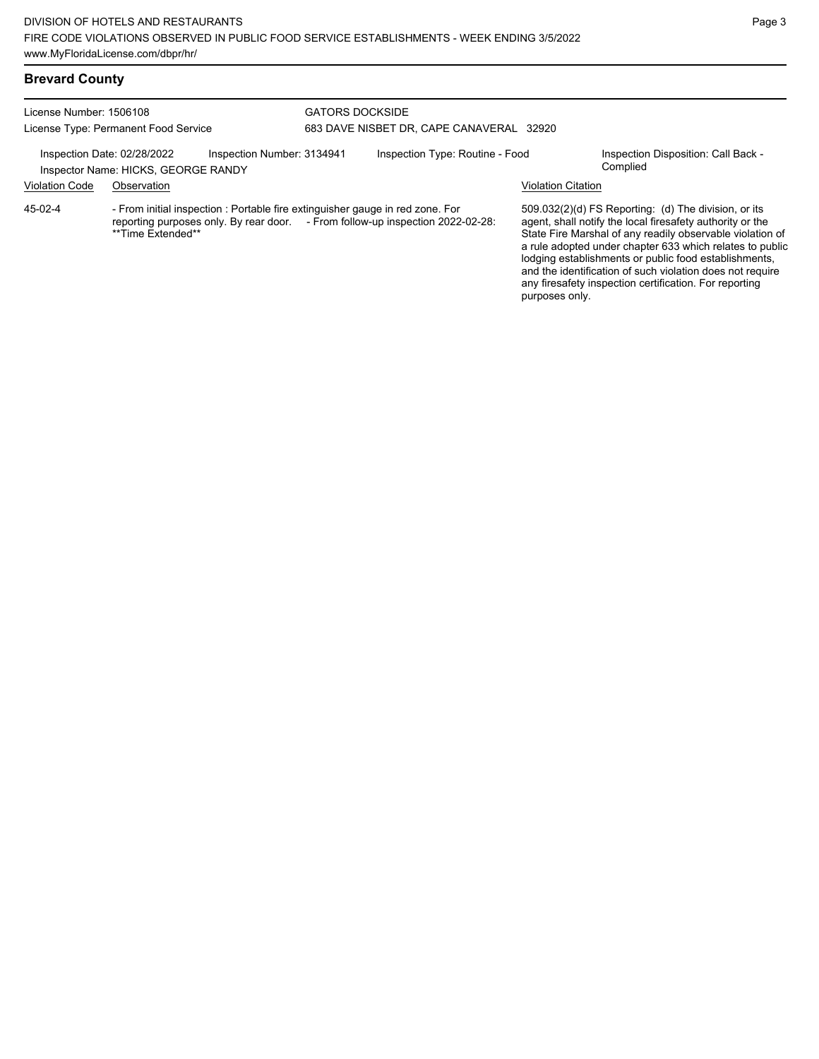## **Brevard County**

| License Number: 1506108<br>License Type: Permanent Food Service                                  |                   |                                                                               | <b>GATORS DOCKSIDE</b><br>683 DAVE NISBET DR, CAPE CANAVERAL 32920 |                                                                                |                           |                                                                                                                                                                                                                                                                                                                                                                                                                            |  |
|--------------------------------------------------------------------------------------------------|-------------------|-------------------------------------------------------------------------------|--------------------------------------------------------------------|--------------------------------------------------------------------------------|---------------------------|----------------------------------------------------------------------------------------------------------------------------------------------------------------------------------------------------------------------------------------------------------------------------------------------------------------------------------------------------------------------------------------------------------------------------|--|
| Inspection Date: 02/28/2022<br>Inspection Number: 3134941<br>Inspector Name: HICKS, GEORGE RANDY |                   | Inspection Type: Routine - Food                                               |                                                                    | Inspection Disposition: Call Back -<br>Complied                                |                           |                                                                                                                                                                                                                                                                                                                                                                                                                            |  |
| <b>Violation Code</b>                                                                            | Observation       |                                                                               |                                                                    |                                                                                | <b>Violation Citation</b> |                                                                                                                                                                                                                                                                                                                                                                                                                            |  |
| 45-02-4                                                                                          | **Time Extended** | - From initial inspection : Portable fire extinguisher gauge in red zone. For |                                                                    | reporting purposes only. By rear door. - From follow-up inspection 2022-02-28: |                           | 509.032(2)(d) FS Reporting: (d) The division, or its<br>agent, shall notify the local firesafety authority or the<br>State Fire Marshal of any readily observable violation of<br>a rule adopted under chapter 633 which relates to public<br>lodging establishments or public food establishments,<br>and the identification of such violation does not require<br>any firesafety inspection certification. For reporting |  |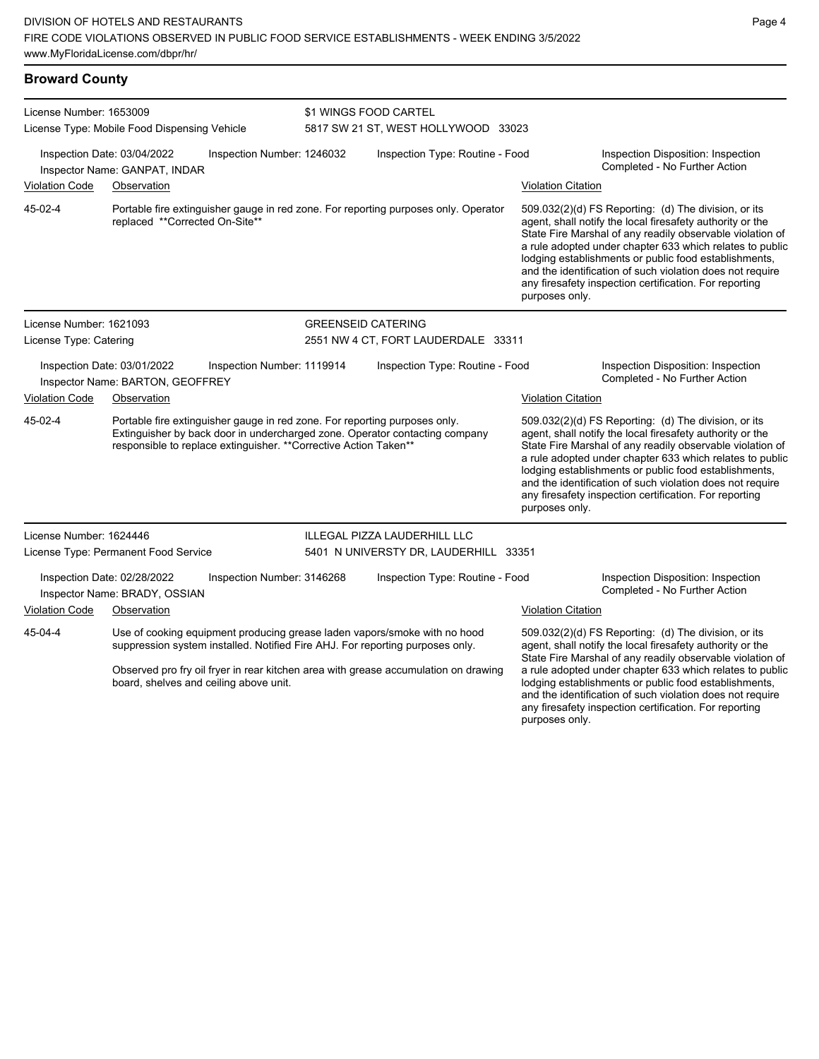| <b>Broward County</b> |  |
|-----------------------|--|
|-----------------------|--|

| License Number: 1653009<br>License Type: Mobile Food Dispensing Vehicle |                                                                                                                                                                                                                                | \$1 WINGS FOOD CARTEL<br>5817 SW 21 ST, WEST HOLLYWOOD 33023 |                                 |                                                                                                                                                                                                                                                   |                                                                                                                                                                                                                                                                                                                                                                                                                                              |                                                                                                                                                                                                                                                                                                                                                                                                                            |
|-------------------------------------------------------------------------|--------------------------------------------------------------------------------------------------------------------------------------------------------------------------------------------------------------------------------|--------------------------------------------------------------|---------------------------------|---------------------------------------------------------------------------------------------------------------------------------------------------------------------------------------------------------------------------------------------------|----------------------------------------------------------------------------------------------------------------------------------------------------------------------------------------------------------------------------------------------------------------------------------------------------------------------------------------------------------------------------------------------------------------------------------------------|----------------------------------------------------------------------------------------------------------------------------------------------------------------------------------------------------------------------------------------------------------------------------------------------------------------------------------------------------------------------------------------------------------------------------|
|                                                                         | Inspection Date: 03/04/2022<br>Inspector Name: GANPAT, INDAR                                                                                                                                                                   | Inspection Number: 1246032                                   | Inspection Type: Routine - Food |                                                                                                                                                                                                                                                   | Inspection Disposition: Inspection<br>Completed - No Further Action                                                                                                                                                                                                                                                                                                                                                                          |                                                                                                                                                                                                                                                                                                                                                                                                                            |
| <b>Violation Code</b>                                                   | Observation                                                                                                                                                                                                                    |                                                              |                                 |                                                                                                                                                                                                                                                   | <b>Violation Citation</b>                                                                                                                                                                                                                                                                                                                                                                                                                    |                                                                                                                                                                                                                                                                                                                                                                                                                            |
| 45-02-4                                                                 | replaced **Corrected On-Site**                                                                                                                                                                                                 |                                                              |                                 | Portable fire extinguisher gauge in red zone. For reporting purposes only. Operator                                                                                                                                                               | purposes only.                                                                                                                                                                                                                                                                                                                                                                                                                               | 509.032(2)(d) FS Reporting: (d) The division, or its<br>agent, shall notify the local firesafety authority or the<br>State Fire Marshal of any readily observable violation of<br>a rule adopted under chapter 633 which relates to public<br>lodging establishments or public food establishments,<br>and the identification of such violation does not require<br>any firesafety inspection certification. For reporting |
| License Number: 1621093                                                 |                                                                                                                                                                                                                                |                                                              |                                 | <b>GREENSEID CATERING</b>                                                                                                                                                                                                                         |                                                                                                                                                                                                                                                                                                                                                                                                                                              |                                                                                                                                                                                                                                                                                                                                                                                                                            |
| License Type: Catering                                                  |                                                                                                                                                                                                                                |                                                              |                                 | 2551 NW 4 CT, FORT LAUDERDALE 33311                                                                                                                                                                                                               |                                                                                                                                                                                                                                                                                                                                                                                                                                              |                                                                                                                                                                                                                                                                                                                                                                                                                            |
|                                                                         | Inspection Date: 03/01/2022<br>Inspector Name: BARTON, GEOFFREY                                                                                                                                                                | Inspection Number: 1119914                                   |                                 | Inspection Type: Routine - Food                                                                                                                                                                                                                   |                                                                                                                                                                                                                                                                                                                                                                                                                                              | Inspection Disposition: Inspection<br>Completed - No Further Action                                                                                                                                                                                                                                                                                                                                                        |
| <b>Violation Code</b>                                                   | Observation                                                                                                                                                                                                                    |                                                              |                                 |                                                                                                                                                                                                                                                   | <b>Violation Citation</b>                                                                                                                                                                                                                                                                                                                                                                                                                    |                                                                                                                                                                                                                                                                                                                                                                                                                            |
| 45-02-4                                                                 | Portable fire extinguisher gauge in red zone. For reporting purposes only.<br>Extinguisher by back door in undercharged zone. Operator contacting company<br>responsible to replace extinguisher. ** Corrective Action Taken** |                                                              |                                 |                                                                                                                                                                                                                                                   | 509.032(2)(d) FS Reporting: (d) The division, or its<br>agent, shall notify the local firesafety authority or the<br>State Fire Marshal of any readily observable violation of<br>a rule adopted under chapter 633 which relates to public<br>lodging establishments or public food establishments,<br>and the identification of such violation does not require<br>any firesafety inspection certification. For reporting<br>purposes only. |                                                                                                                                                                                                                                                                                                                                                                                                                            |
| License Number: 1624446                                                 |                                                                                                                                                                                                                                |                                                              |                                 | ILLEGAL PIZZA LAUDERHILL LLC                                                                                                                                                                                                                      |                                                                                                                                                                                                                                                                                                                                                                                                                                              |                                                                                                                                                                                                                                                                                                                                                                                                                            |
|                                                                         | License Type: Permanent Food Service                                                                                                                                                                                           |                                                              |                                 | 5401 N UNIVERSTY DR, LAUDERHILL 33351                                                                                                                                                                                                             |                                                                                                                                                                                                                                                                                                                                                                                                                                              |                                                                                                                                                                                                                                                                                                                                                                                                                            |
|                                                                         | Inspection Date: 02/28/2022<br>Inspector Name: BRADY, OSSIAN                                                                                                                                                                   | Inspection Number: 3146268                                   |                                 | Inspection Type: Routine - Food                                                                                                                                                                                                                   |                                                                                                                                                                                                                                                                                                                                                                                                                                              | Inspection Disposition: Inspection<br>Completed - No Further Action                                                                                                                                                                                                                                                                                                                                                        |
| <b>Violation Code</b>                                                   | Observation                                                                                                                                                                                                                    |                                                              |                                 |                                                                                                                                                                                                                                                   | <b>Violation Citation</b>                                                                                                                                                                                                                                                                                                                                                                                                                    |                                                                                                                                                                                                                                                                                                                                                                                                                            |
| 45-04-4                                                                 |                                                                                                                                                                                                                                | board, shelves and ceiling above unit.                       |                                 | Use of cooking equipment producing grease laden vapors/smoke with no hood<br>suppression system installed. Notified Fire AHJ. For reporting purposes only.<br>Observed pro fry oil fryer in rear kitchen area with grease accumulation on drawing |                                                                                                                                                                                                                                                                                                                                                                                                                                              | 509.032(2)(d) FS Reporting: (d) The division, or its<br>agent, shall notify the local firesafety authority or the<br>State Fire Marshal of any readily observable violation of<br>a rule adopted under chapter 633 which relates to public<br>lodging establishments or public food establishments,<br>and the identification of such violation does not require<br>any firesafety inspection certification. For reporting |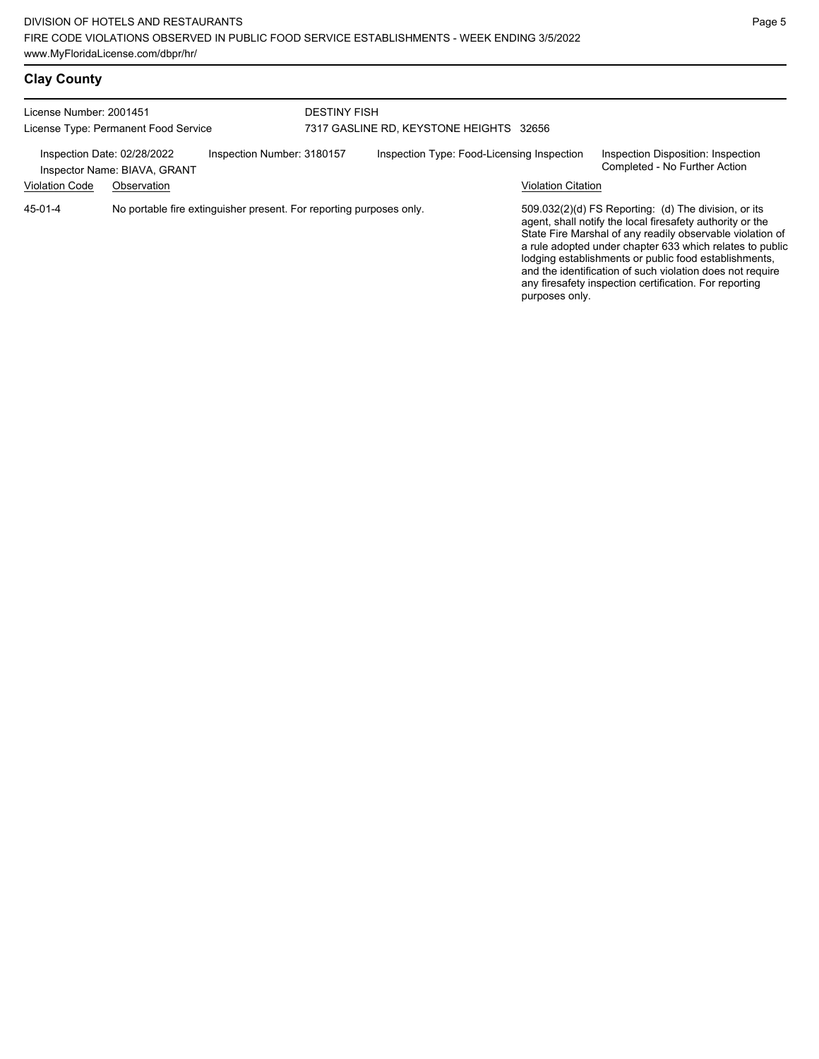| <b>Clay County</b> |  |
|--------------------|--|
|--------------------|--|

| License Number: 2001451<br>License Type: Permanent Food Service |                                             |                                                                     | <b>DESTINY FISH</b><br>7317 GASLINE RD, KEYSTONE HEIGHTS 32656 |                                            |                           |                                                                                                                                                                                                                                                                                                                                                                                                                              |
|-----------------------------------------------------------------|---------------------------------------------|---------------------------------------------------------------------|----------------------------------------------------------------|--------------------------------------------|---------------------------|------------------------------------------------------------------------------------------------------------------------------------------------------------------------------------------------------------------------------------------------------------------------------------------------------------------------------------------------------------------------------------------------------------------------------|
| Inspection Date: 02/28/2022<br><b>Violation Code</b>            | Inspector Name: BIAVA, GRANT<br>Observation | Inspection Number: 3180157                                          |                                                                | Inspection Type: Food-Licensing Inspection | <b>Violation Citation</b> | Inspection Disposition: Inspection<br>Completed - No Further Action                                                                                                                                                                                                                                                                                                                                                          |
| 45-01-4                                                         |                                             | No portable fire extinguisher present. For reporting purposes only. |                                                                |                                            | purposes only.            | $509.032(2)(d)$ FS Reporting: (d) The division, or its<br>agent, shall notify the local firesafety authority or the<br>State Fire Marshal of any readily observable violation of<br>a rule adopted under chapter 633 which relates to public<br>lodging establishments or public food establishments,<br>and the identification of such violation does not require<br>any firesafety inspection certification. For reporting |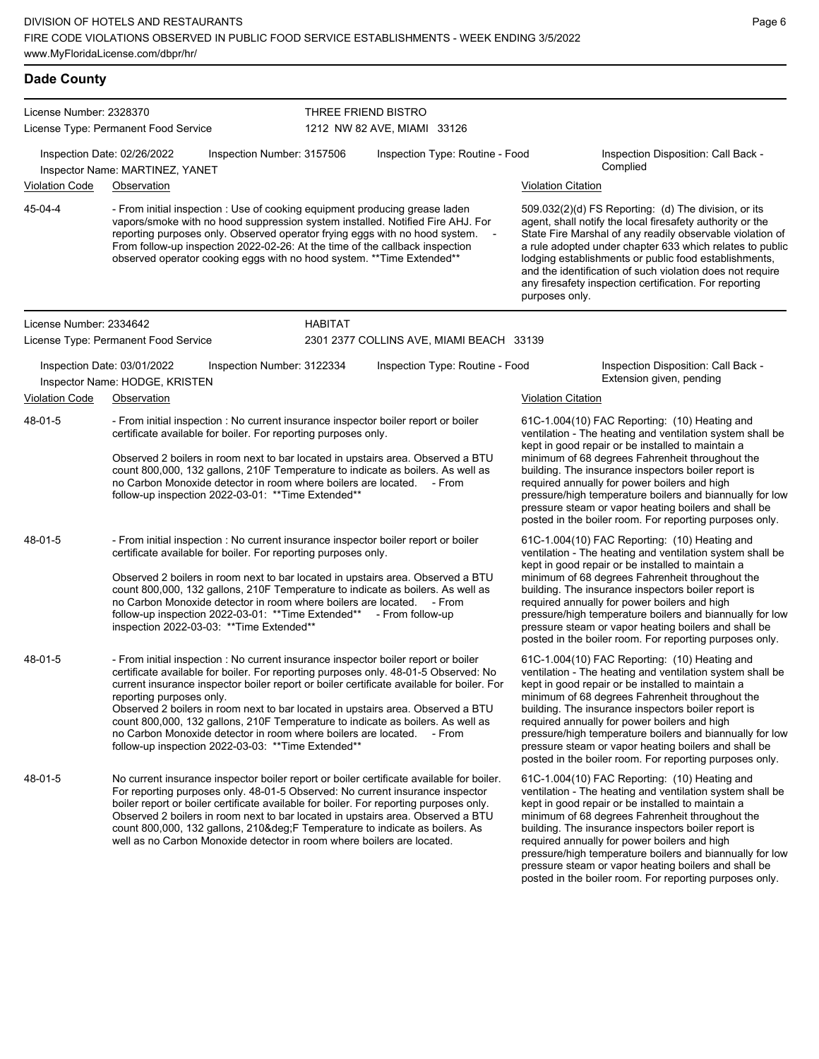| <b>Dade County</b>      |                                                                                                                                                                                                                                                                                                                                                                                                                                                                                                                                                                                                          |                            |                                                    |                                                                                                                                                                                                                                                                                                                                                                                                                                                                                                          |                                                                                                                                                                                                                                                                                                                                                                                                                                                                                                          |  |  |  |  |
|-------------------------|----------------------------------------------------------------------------------------------------------------------------------------------------------------------------------------------------------------------------------------------------------------------------------------------------------------------------------------------------------------------------------------------------------------------------------------------------------------------------------------------------------------------------------------------------------------------------------------------------------|----------------------------|----------------------------------------------------|----------------------------------------------------------------------------------------------------------------------------------------------------------------------------------------------------------------------------------------------------------------------------------------------------------------------------------------------------------------------------------------------------------------------------------------------------------------------------------------------------------|----------------------------------------------------------------------------------------------------------------------------------------------------------------------------------------------------------------------------------------------------------------------------------------------------------------------------------------------------------------------------------------------------------------------------------------------------------------------------------------------------------|--|--|--|--|
| License Number: 2328370 |                                                                                                                                                                                                                                                                                                                                                                                                                                                                                                                                                                                                          |                            | THREE FRIEND BISTRO<br>1212 NW 82 AVE, MIAMI 33126 |                                                                                                                                                                                                                                                                                                                                                                                                                                                                                                          |                                                                                                                                                                                                                                                                                                                                                                                                                                                                                                          |  |  |  |  |
|                         | License Type: Permanent Food Service                                                                                                                                                                                                                                                                                                                                                                                                                                                                                                                                                                     |                            |                                                    |                                                                                                                                                                                                                                                                                                                                                                                                                                                                                                          |                                                                                                                                                                                                                                                                                                                                                                                                                                                                                                          |  |  |  |  |
|                         | Inspection Date: 02/26/2022<br>Inspector Name: MARTINEZ, YANET                                                                                                                                                                                                                                                                                                                                                                                                                                                                                                                                           | Inspection Number: 3157506 | Inspection Type: Routine - Food                    |                                                                                                                                                                                                                                                                                                                                                                                                                                                                                                          | Inspection Disposition: Call Back -<br>Complied                                                                                                                                                                                                                                                                                                                                                                                                                                                          |  |  |  |  |
| Violation Code          | Observation                                                                                                                                                                                                                                                                                                                                                                                                                                                                                                                                                                                              |                            |                                                    | <b>Violation Citation</b>                                                                                                                                                                                                                                                                                                                                                                                                                                                                                |                                                                                                                                                                                                                                                                                                                                                                                                                                                                                                          |  |  |  |  |
| 45-04-4                 | - From initial inspection : Use of cooking equipment producing grease laden<br>vapors/smoke with no hood suppression system installed. Notified Fire AHJ. For<br>reporting purposes only. Observed operator frying eggs with no hood system.<br>From follow-up inspection 2022-02-26: At the time of the callback inspection<br>observed operator cooking eggs with no hood system. ** Time Extended**                                                                                                                                                                                                   |                            |                                                    | $\overline{\phantom{a}}$<br>purposes only.                                                                                                                                                                                                                                                                                                                                                                                                                                                               | 509.032(2)(d) FS Reporting: (d) The division, or its<br>agent, shall notify the local firesafety authority or the<br>State Fire Marshal of any readily observable violation of<br>a rule adopted under chapter 633 which relates to public<br>lodging establishments or public food establishments,<br>and the identification of such violation does not require<br>any firesafety inspection certification. For reporting                                                                               |  |  |  |  |
| License Number: 2334642 |                                                                                                                                                                                                                                                                                                                                                                                                                                                                                                                                                                                                          | <b>HABITAT</b>             |                                                    |                                                                                                                                                                                                                                                                                                                                                                                                                                                                                                          |                                                                                                                                                                                                                                                                                                                                                                                                                                                                                                          |  |  |  |  |
|                         | License Type: Permanent Food Service                                                                                                                                                                                                                                                                                                                                                                                                                                                                                                                                                                     |                            | 2301 2377 COLLINS AVE, MIAMI BEACH 33139           |                                                                                                                                                                                                                                                                                                                                                                                                                                                                                                          |                                                                                                                                                                                                                                                                                                                                                                                                                                                                                                          |  |  |  |  |
|                         | Inspection Date: 03/01/2022<br>Inspector Name: HODGE, KRISTEN                                                                                                                                                                                                                                                                                                                                                                                                                                                                                                                                            | Inspection Number: 3122334 | Inspection Type: Routine - Food                    |                                                                                                                                                                                                                                                                                                                                                                                                                                                                                                          | Inspection Disposition: Call Back -<br>Extension given, pending                                                                                                                                                                                                                                                                                                                                                                                                                                          |  |  |  |  |
| <b>Violation Code</b>   | Observation                                                                                                                                                                                                                                                                                                                                                                                                                                                                                                                                                                                              |                            | <b>Violation Citation</b>                          |                                                                                                                                                                                                                                                                                                                                                                                                                                                                                                          |                                                                                                                                                                                                                                                                                                                                                                                                                                                                                                          |  |  |  |  |
| 48-01-5                 | - From initial inspection : No current insurance inspector boiler report or boiler<br>certificate available for boiler. For reporting purposes only.<br>Observed 2 boilers in room next to bar located in upstairs area. Observed a BTU<br>count 800,000, 132 gallons, 210F Temperature to indicate as boilers. As well as<br>no Carbon Monoxide detector in room where boilers are located. - From<br>follow-up inspection 2022-03-01: ** Time Extended**                                                                                                                                               |                            |                                                    |                                                                                                                                                                                                                                                                                                                                                                                                                                                                                                          | 61C-1.004(10) FAC Reporting: (10) Heating and<br>ventilation - The heating and ventilation system shall be<br>kept in good repair or be installed to maintain a<br>minimum of 68 degrees Fahrenheit throughout the<br>building. The insurance inspectors boiler report is<br>required annually for power boilers and high<br>pressure/high temperature boilers and biannually for low<br>pressure steam or vapor heating boilers and shall be<br>posted in the boiler room. For reporting purposes only. |  |  |  |  |
| 48-01-5                 | - From initial inspection : No current insurance inspector boiler report or boiler<br>certificate available for boiler. For reporting purposes only.<br>Observed 2 boilers in room next to bar located in upstairs area. Observed a BTU<br>count 800,000, 132 gallons, 210F Temperature to indicate as boilers. As well as<br>no Carbon Monoxide detector in room where boilers are located. - From<br>follow-up inspection 2022-03-01: ** Time Extended** - From follow-up<br>inspection 2022-03-03: ** Time Extended**                                                                                 |                            |                                                    | 61C-1.004(10) FAC Reporting: (10) Heating and<br>ventilation - The heating and ventilation system shall be<br>kept in good repair or be installed to maintain a<br>minimum of 68 degrees Fahrenheit throughout the<br>building. The insurance inspectors boiler report is<br>required annually for power boilers and high<br>pressure/high temperature boilers and biannually for low<br>pressure steam or vapor heating boilers and shall be<br>posted in the boiler room. For reporting purposes only. |                                                                                                                                                                                                                                                                                                                                                                                                                                                                                                          |  |  |  |  |
| 48-01-5                 | - From initial inspection : No current insurance inspector boiler report or boiler<br>certificate available for boiler. For reporting purposes only. 48-01-5 Observed: No<br>current insurance inspector boiler report or boiler certificate available for boiler. For<br>reporting purposes only.<br>Observed 2 boilers in room next to bar located in upstairs area. Observed a BTU<br>count 800,000, 132 gallons, 210F Temperature to indicate as boilers. As well as<br>no Carbon Monoxide detector in room where boilers are located. - From<br>follow-up inspection 2022-03-03: ** Time Extended** |                            |                                                    |                                                                                                                                                                                                                                                                                                                                                                                                                                                                                                          | 61C-1.004(10) FAC Reporting: (10) Heating and<br>ventilation - The heating and ventilation system shall be<br>kept in good repair or be installed to maintain a<br>minimum of 68 degrees Fahrenheit throughout the<br>building. The insurance inspectors boiler report is<br>required annually for power boilers and high<br>pressure/high temperature boilers and biannually for low<br>pressure steam or vapor heating boilers and shall be<br>posted in the boiler room. For reporting purposes only. |  |  |  |  |
| 48-01-5                 | No current insurance inspector boiler report or boiler certificate available for boiler.<br>For reporting purposes only. 48-01-5 Observed: No current insurance inspector<br>boiler report or boiler certificate available for boiler. For reporting purposes only.<br>Observed 2 boilers in room next to bar located in upstairs area. Observed a BTU<br>count 800,000, 132 gallons, 210° F Temperature to indicate as boilers. As<br>well as no Carbon Monoxide detector in room where boilers are located.                                                                                            |                            |                                                    | 61C-1.004(10) FAC Reporting: (10) Heating and<br>ventilation - The heating and ventilation system shall be<br>kept in good repair or be installed to maintain a<br>minimum of 68 degrees Fahrenheit throughout the<br>building. The insurance inspectors boiler report is<br>required annually for power boilers and high<br>pressure/high temperature boilers and biannually for low                                                                                                                    |                                                                                                                                                                                                                                                                                                                                                                                                                                                                                                          |  |  |  |  |

pressure steam or vapor heating boilers and shall be posted in the boiler room. For reporting purposes only.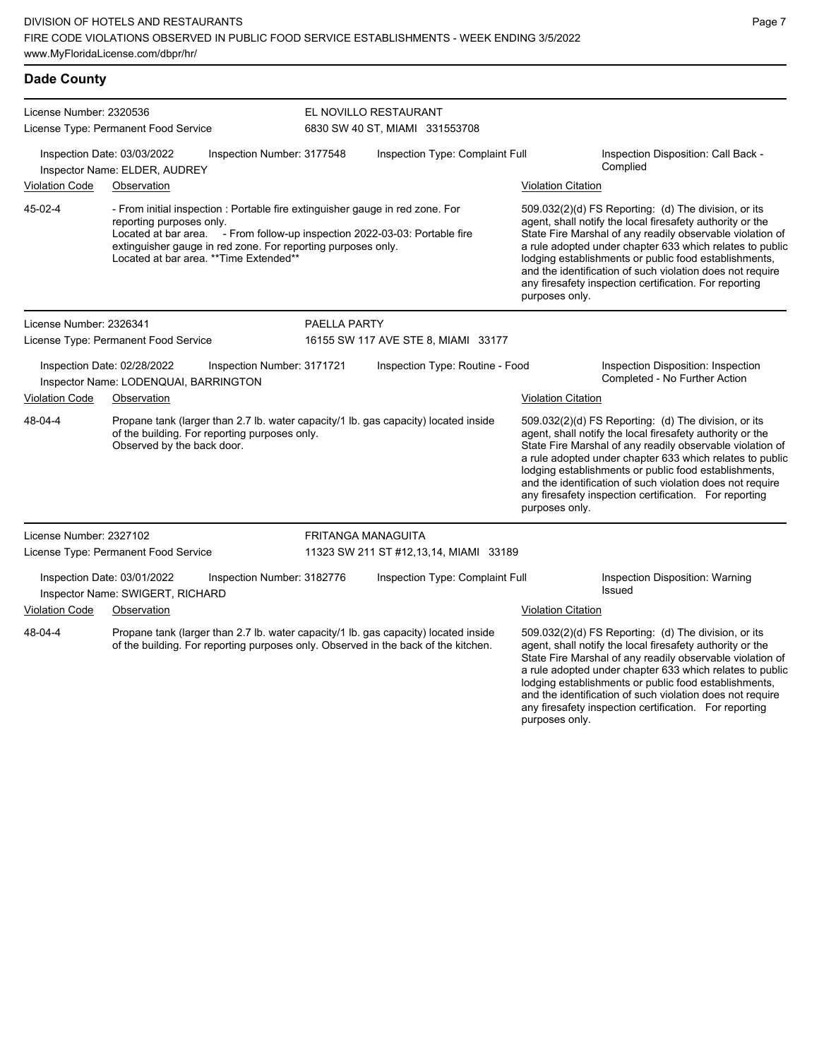| <b>Dade County</b>                                                                                                                                                                   |                                                                             |                            |                                                                                                                                                                                                                             |                                                         |  |                                                                                                                                                                                                                                                                                                                                                                                                                                              |                                                                                                                                                                                                                                                                                                                                                                                                                            |
|--------------------------------------------------------------------------------------------------------------------------------------------------------------------------------------|-----------------------------------------------------------------------------|----------------------------|-----------------------------------------------------------------------------------------------------------------------------------------------------------------------------------------------------------------------------|---------------------------------------------------------|--|----------------------------------------------------------------------------------------------------------------------------------------------------------------------------------------------------------------------------------------------------------------------------------------------------------------------------------------------------------------------------------------------------------------------------------------------|----------------------------------------------------------------------------------------------------------------------------------------------------------------------------------------------------------------------------------------------------------------------------------------------------------------------------------------------------------------------------------------------------------------------------|
| License Number: 2320536<br>License Type: Permanent Food Service                                                                                                                      |                                                                             |                            |                                                                                                                                                                                                                             | EL NOVILLO RESTAURANT<br>6830 SW 40 ST, MIAMI 331553708 |  |                                                                                                                                                                                                                                                                                                                                                                                                                                              |                                                                                                                                                                                                                                                                                                                                                                                                                            |
|                                                                                                                                                                                      | Inspection Date: 03/03/2022<br>Inspector Name: ELDER, AUDREY                | Inspection Number: 3177548 |                                                                                                                                                                                                                             | Inspection Type: Complaint Full                         |  |                                                                                                                                                                                                                                                                                                                                                                                                                                              | Inspection Disposition: Call Back -<br>Complied                                                                                                                                                                                                                                                                                                                                                                            |
| <b>Violation Code</b>                                                                                                                                                                | Observation                                                                 |                            |                                                                                                                                                                                                                             |                                                         |  | <b>Violation Citation</b>                                                                                                                                                                                                                                                                                                                                                                                                                    |                                                                                                                                                                                                                                                                                                                                                                                                                            |
| 45-02-4                                                                                                                                                                              | reporting purposes only.<br>Located at bar area. ** Time Extended**         |                            | - From initial inspection : Portable fire extinguisher gauge in red zone. For<br>Located at bar area. - From follow-up inspection 2022-03-03: Portable fire<br>extinguisher gauge in red zone. For reporting purposes only. |                                                         |  | 509.032(2)(d) FS Reporting: (d) The division, or its<br>agent, shall notify the local firesafety authority or the<br>State Fire Marshal of any readily observable violation of<br>a rule adopted under chapter 633 which relates to public<br>lodging establishments or public food establishments,<br>and the identification of such violation does not require<br>any firesafety inspection certification. For reporting<br>purposes only. |                                                                                                                                                                                                                                                                                                                                                                                                                            |
| License Number: 2326341                                                                                                                                                              |                                                                             |                            | <b>PAELLA PARTY</b>                                                                                                                                                                                                         |                                                         |  |                                                                                                                                                                                                                                                                                                                                                                                                                                              |                                                                                                                                                                                                                                                                                                                                                                                                                            |
|                                                                                                                                                                                      | License Type: Permanent Food Service                                        |                            |                                                                                                                                                                                                                             | 16155 SW 117 AVE STE 8, MIAMI 33177                     |  |                                                                                                                                                                                                                                                                                                                                                                                                                                              |                                                                                                                                                                                                                                                                                                                                                                                                                            |
|                                                                                                                                                                                      | Inspection Date: 02/28/2022<br>Inspector Name: LODENQUAI, BARRINGTON        | Inspection Number: 3171721 |                                                                                                                                                                                                                             | Inspection Type: Routine - Food                         |  |                                                                                                                                                                                                                                                                                                                                                                                                                                              | Inspection Disposition: Inspection<br>Completed - No Further Action                                                                                                                                                                                                                                                                                                                                                        |
| <b>Violation Code</b>                                                                                                                                                                | Observation                                                                 |                            |                                                                                                                                                                                                                             |                                                         |  | <b>Violation Citation</b>                                                                                                                                                                                                                                                                                                                                                                                                                    |                                                                                                                                                                                                                                                                                                                                                                                                                            |
| 48-04-4                                                                                                                                                                              | of the building. For reporting purposes only.<br>Observed by the back door. |                            | Propane tank (larger than 2.7 lb. water capacity/1 lb. gas capacity) located inside                                                                                                                                         |                                                         |  | purposes only.                                                                                                                                                                                                                                                                                                                                                                                                                               | 509.032(2)(d) FS Reporting: (d) The division, or its<br>agent, shall notify the local firesafety authority or the<br>State Fire Marshal of any readily observable violation of<br>a rule adopted under chapter 633 which relates to public<br>lodging establishments or public food establishments,<br>and the identification of such violation does not require<br>any firesafety inspection certification. For reporting |
| License Number: 2327102                                                                                                                                                              |                                                                             |                            |                                                                                                                                                                                                                             | <b>FRITANGA MANAGUITA</b>                               |  |                                                                                                                                                                                                                                                                                                                                                                                                                                              |                                                                                                                                                                                                                                                                                                                                                                                                                            |
|                                                                                                                                                                                      | License Type: Permanent Food Service                                        |                            |                                                                                                                                                                                                                             | 11323 SW 211 ST #12,13,14, MIAMI 33189                  |  |                                                                                                                                                                                                                                                                                                                                                                                                                                              |                                                                                                                                                                                                                                                                                                                                                                                                                            |
|                                                                                                                                                                                      | Inspection Date: 03/01/2022<br>Inspector Name: SWIGERT, RICHARD             | Inspection Number: 3182776 |                                                                                                                                                                                                                             | Inspection Type: Complaint Full                         |  |                                                                                                                                                                                                                                                                                                                                                                                                                                              | Inspection Disposition: Warning<br>Issued                                                                                                                                                                                                                                                                                                                                                                                  |
| <b>Violation Code</b>                                                                                                                                                                | Observation                                                                 |                            |                                                                                                                                                                                                                             |                                                         |  | <b>Violation Citation</b>                                                                                                                                                                                                                                                                                                                                                                                                                    |                                                                                                                                                                                                                                                                                                                                                                                                                            |
| Propane tank (larger than 2.7 lb. water capacity/1 lb. gas capacity) located inside<br>48-04-4<br>of the building. For reporting purposes only. Observed in the back of the kitchen. |                                                                             |                            |                                                                                                                                                                                                                             |                                                         |  |                                                                                                                                                                                                                                                                                                                                                                                                                                              | 509.032(2)(d) FS Reporting: (d) The division, or its<br>agent, shall notify the local firesafety authority or the<br>State Fire Marshal of any readily observable violation of<br>a rule adopted under chapter 633 which relates to public                                                                                                                                                                                 |

lodging establishments or public food establishments, and the identification of such violation does not require any firesafety inspection certification. For reporting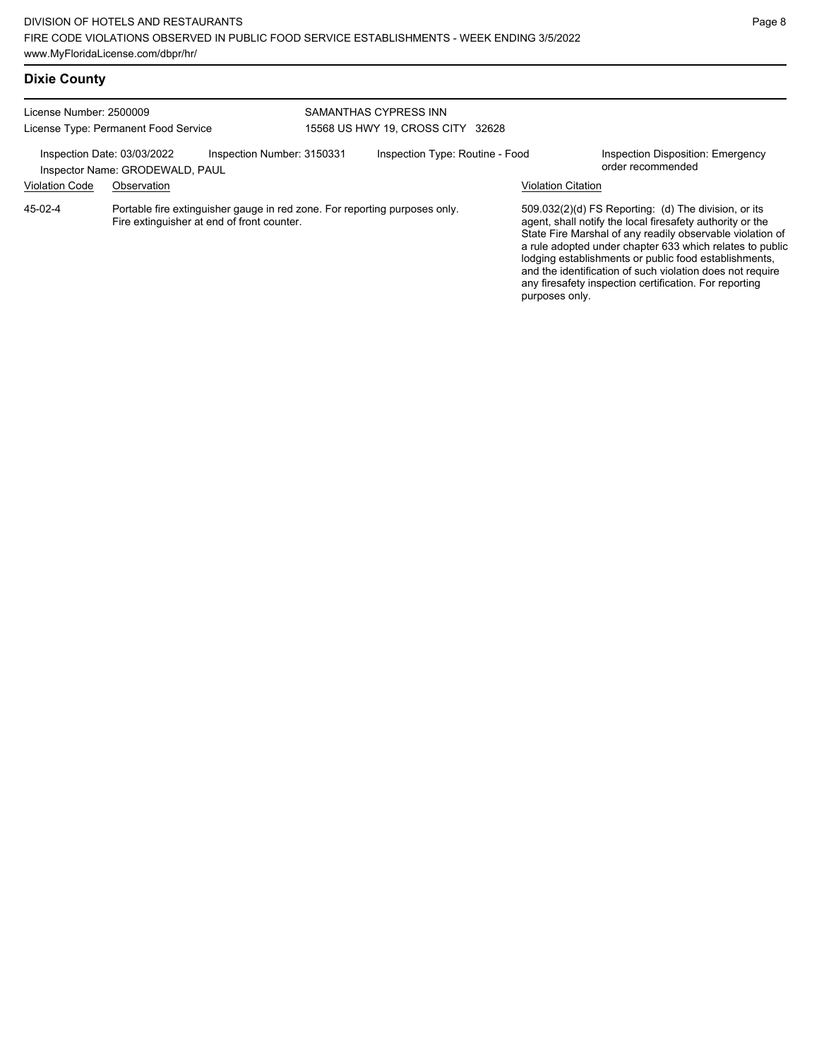| License Number: 2500009<br>License Type: Permanent Food Service                                                                      |  |                                                                                                                          | SAMANTHAS CYPRESS INN<br>15568 US HWY 19, CROSS CITY 32628   |  |                                                               |                                                                                                                                                                                                                                                                                                                                                                                                                            |  |
|--------------------------------------------------------------------------------------------------------------------------------------|--|--------------------------------------------------------------------------------------------------------------------------|--------------------------------------------------------------|--|---------------------------------------------------------------|----------------------------------------------------------------------------------------------------------------------------------------------------------------------------------------------------------------------------------------------------------------------------------------------------------------------------------------------------------------------------------------------------------------------------|--|
| Inspection Number: 3150331<br>Inspection Date: 03/03/2022<br>Inspector Name: GRODEWALD, PAUL<br><b>Violation Code</b><br>Observation |  |                                                                                                                          | Inspection Type: Routine - Food<br><b>Violation Citation</b> |  | <b>Inspection Disposition: Emergency</b><br>order recommended |                                                                                                                                                                                                                                                                                                                                                                                                                            |  |
| $45-02-4$                                                                                                                            |  | Portable fire extinguisher gauge in red zone. For reporting purposes only.<br>Fire extinguisher at end of front counter. |                                                              |  | purposes only.                                                | 509.032(2)(d) FS Reporting: (d) The division, or its<br>agent, shall notify the local firesafety authority or the<br>State Fire Marshal of any readily observable violation of<br>a rule adopted under chapter 633 which relates to public<br>lodging establishments or public food establishments,<br>and the identification of such violation does not require<br>any firesafety inspection certification. For reporting |  |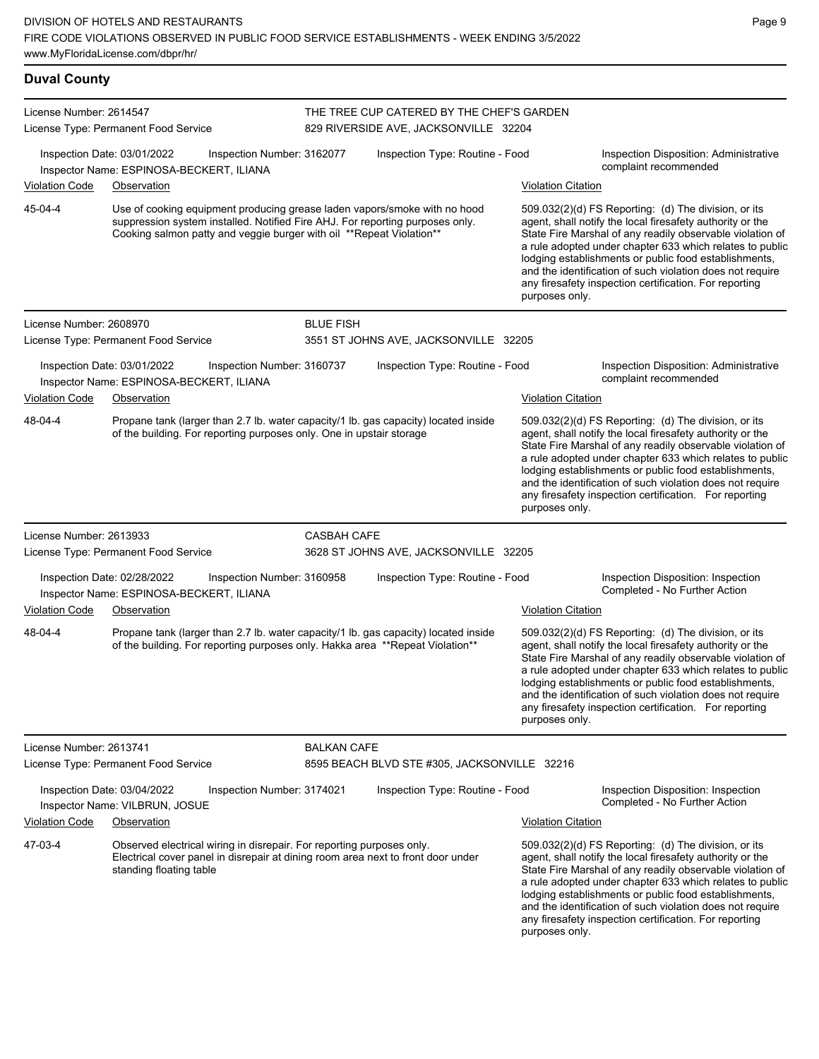| <b>Duval County</b>     |                                                                                                                                                                                                                                     |                    |                                                                                    |                           |                                                                                                                                                                                                                                                                                                                                                                                                                            |
|-------------------------|-------------------------------------------------------------------------------------------------------------------------------------------------------------------------------------------------------------------------------------|--------------------|------------------------------------------------------------------------------------|---------------------------|----------------------------------------------------------------------------------------------------------------------------------------------------------------------------------------------------------------------------------------------------------------------------------------------------------------------------------------------------------------------------------------------------------------------------|
| License Number: 2614547 | License Type: Permanent Food Service                                                                                                                                                                                                |                    | THE TREE CUP CATERED BY THE CHEF'S GARDEN<br>829 RIVERSIDE AVE, JACKSONVILLE 32204 |                           |                                                                                                                                                                                                                                                                                                                                                                                                                            |
|                         | Inspection Date: 03/01/2022<br>Inspection Number: 3162077<br>Inspector Name: ESPINOSA-BECKERT, ILIANA                                                                                                                               |                    | Inspection Type: Routine - Food                                                    |                           | Inspection Disposition: Administrative<br>complaint recommended                                                                                                                                                                                                                                                                                                                                                            |
| <b>Violation Code</b>   | Observation                                                                                                                                                                                                                         |                    |                                                                                    | <b>Violation Citation</b> |                                                                                                                                                                                                                                                                                                                                                                                                                            |
| 45-04-4                 | Use of cooking equipment producing grease laden vapors/smoke with no hood<br>suppression system installed. Notified Fire AHJ. For reporting purposes only.<br>Cooking salmon patty and veggie burger with oil ** Repeat Violation** |                    |                                                                                    | purposes only.            | 509.032(2)(d) FS Reporting: (d) The division, or its<br>agent, shall notify the local firesafety authority or the<br>State Fire Marshal of any readily observable violation of<br>a rule adopted under chapter 633 which relates to public<br>lodging establishments or public food establishments,<br>and the identification of such violation does not require<br>any firesafety inspection certification. For reporting |
| License Number: 2608970 |                                                                                                                                                                                                                                     | <b>BLUE FISH</b>   |                                                                                    |                           |                                                                                                                                                                                                                                                                                                                                                                                                                            |
|                         | License Type: Permanent Food Service                                                                                                                                                                                                |                    | 3551 ST JOHNS AVE, JACKSONVILLE 32205                                              |                           |                                                                                                                                                                                                                                                                                                                                                                                                                            |
|                         | Inspection Date: 03/01/2022<br>Inspection Number: 3160737<br>Inspector Name: ESPINOSA-BECKERT, ILIANA                                                                                                                               |                    | Inspection Type: Routine - Food                                                    |                           | Inspection Disposition: Administrative<br>complaint recommended                                                                                                                                                                                                                                                                                                                                                            |
| <b>Violation Code</b>   | Observation                                                                                                                                                                                                                         |                    |                                                                                    | <b>Violation Citation</b> |                                                                                                                                                                                                                                                                                                                                                                                                                            |
| 48-04-4                 | Propane tank (larger than 2.7 lb. water capacity/1 lb. gas capacity) located inside<br>of the building. For reporting purposes only. One in upstair storage                                                                         |                    |                                                                                    | purposes only.            | 509.032(2)(d) FS Reporting: (d) The division, or its<br>agent, shall notify the local firesafety authority or the<br>State Fire Marshal of any readily observable violation of<br>a rule adopted under chapter 633 which relates to public<br>lodging establishments or public food establishments,<br>and the identification of such violation does not require<br>any firesafety inspection certification. For reporting |
| License Number: 2613933 |                                                                                                                                                                                                                                     | <b>CASBAH CAFE</b> |                                                                                    |                           |                                                                                                                                                                                                                                                                                                                                                                                                                            |
|                         | License Type: Permanent Food Service                                                                                                                                                                                                |                    | 3628 ST JOHNS AVE, JACKSONVILLE 32205                                              |                           |                                                                                                                                                                                                                                                                                                                                                                                                                            |
| <b>Violation Code</b>   | Inspection Date: 02/28/2022<br>Inspection Number: 3160958<br>Inspector Name: ESPINOSA-BECKERT, ILIANA<br>Observation                                                                                                                |                    | Inspection Type: Routine - Food                                                    | <b>Violation Citation</b> | Inspection Disposition: Inspection<br>Completed - No Further Action                                                                                                                                                                                                                                                                                                                                                        |
| 48-04-4                 | Propane tank (larger than 2.7 lb. water capacity/1 lb. gas capacity) located inside<br>of the building. For reporting purposes only. Hakka area **Repeat Violation**                                                                |                    |                                                                                    | purposes only.            | 509.032(2)(d) FS Reporting: (d) The division, or its<br>agent, shall notify the local firesafety authority or the<br>State Fire Marshal of any readily observable violation of<br>a rule adopted under chapter 633 which relates to public<br>lodging establishments or public food establishments,<br>and the identification of such violation does not require<br>any firesafety inspection certification. For reporting |
| License Number: 2613741 |                                                                                                                                                                                                                                     | <b>BALKAN CAFE</b> |                                                                                    |                           |                                                                                                                                                                                                                                                                                                                                                                                                                            |
|                         | License Type: Permanent Food Service                                                                                                                                                                                                |                    | 8595 BEACH BLVD STE #305, JACKSONVILLE 32216                                       |                           |                                                                                                                                                                                                                                                                                                                                                                                                                            |
|                         | Inspection Date: 03/04/2022<br>Inspection Number: 3174021<br>Inspector Name: VILBRUN, JOSUE                                                                                                                                         |                    | Inspection Type: Routine - Food                                                    |                           | Inspection Disposition: Inspection<br>Completed - No Further Action                                                                                                                                                                                                                                                                                                                                                        |
| <b>Violation Code</b>   | Observation                                                                                                                                                                                                                         |                    |                                                                                    | <b>Violation Citation</b> |                                                                                                                                                                                                                                                                                                                                                                                                                            |
| 47-03-4                 | Observed electrical wiring in disrepair. For reporting purposes only.<br>Electrical cover panel in disrepair at dining room area next to front door under<br>standing floating table                                                |                    |                                                                                    |                           | 509.032(2)(d) FS Reporting: (d) The division, or its<br>agent, shall notify the local firesafety authority or the<br>State Fire Marshal of any readily observable violation of                                                                                                                                                                                                                                             |

a rule adopted under chapter 633 which relates to public lodging establishments or public food establishments, and the identification of such violation does not require any firesafety inspection certification. For reporting purposes only.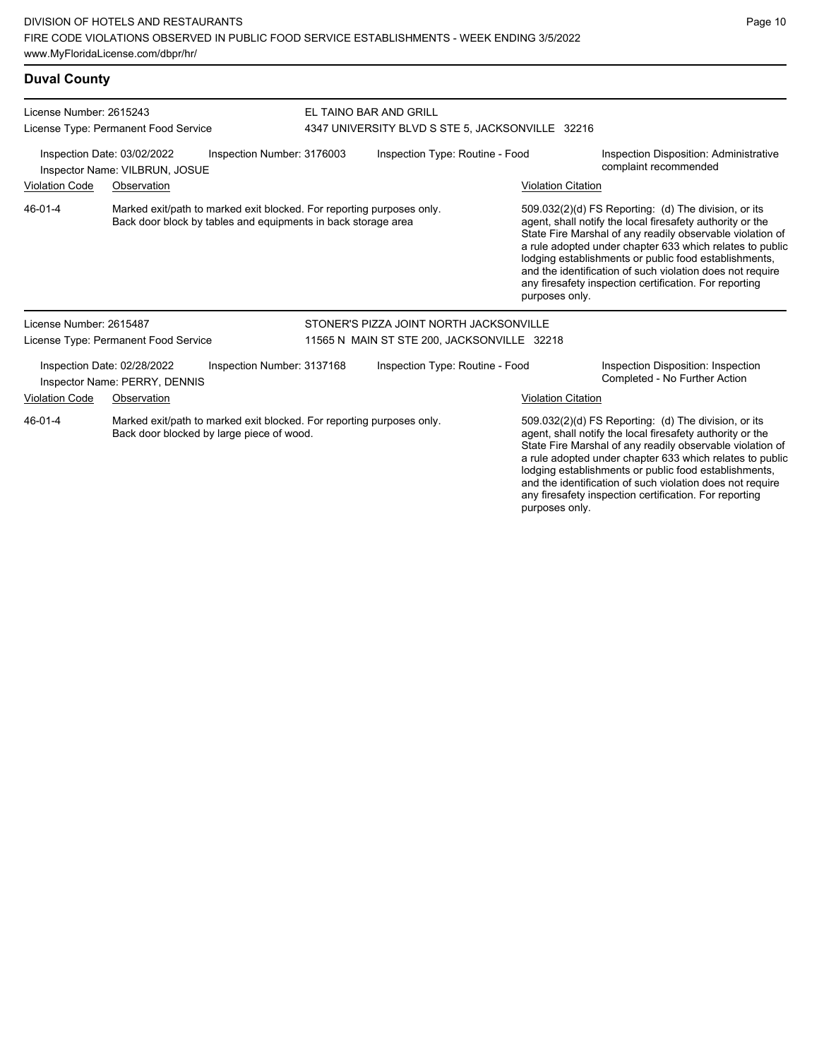| <b>Duval County</b>                                             |                                                                                                                                        |                            |                                                                            |                           |                                                                                                                                                                                                                                                                                                                                                                                                                            |  |  |
|-----------------------------------------------------------------|----------------------------------------------------------------------------------------------------------------------------------------|----------------------------|----------------------------------------------------------------------------|---------------------------|----------------------------------------------------------------------------------------------------------------------------------------------------------------------------------------------------------------------------------------------------------------------------------------------------------------------------------------------------------------------------------------------------------------------------|--|--|
| License Number: 2615243<br>License Type: Permanent Food Service |                                                                                                                                        |                            | EL TAINO BAR AND GRILL<br>4347 UNIVERSITY BLVD S STE 5, JACKSONVILLE 32216 |                           |                                                                                                                                                                                                                                                                                                                                                                                                                            |  |  |
|                                                                 | Inspection Date: 03/02/2022<br>Inspector Name: VILBRUN, JOSUE                                                                          | Inspection Number: 3176003 | Inspection Type: Routine - Food                                            |                           | Inspection Disposition: Administrative<br>complaint recommended                                                                                                                                                                                                                                                                                                                                                            |  |  |
| <b>Violation Code</b>                                           | Observation                                                                                                                            |                            |                                                                            | <b>Violation Citation</b> |                                                                                                                                                                                                                                                                                                                                                                                                                            |  |  |
| 46-01-4                                                         | Marked exit/path to marked exit blocked. For reporting purposes only.<br>Back door block by tables and equipments in back storage area |                            |                                                                            | purposes only.            | 509.032(2)(d) FS Reporting: (d) The division, or its<br>agent, shall notify the local firesafety authority or the<br>State Fire Marshal of any readily observable violation of<br>a rule adopted under chapter 633 which relates to public<br>lodging establishments or public food establishments,<br>and the identification of such violation does not require<br>any firesafety inspection certification. For reporting |  |  |
| License Number 2615487                                          |                                                                                                                                        |                            | STONER'S PIZZA JOINT NORTH JACKSONVILLE                                    |                           |                                                                                                                                                                                                                                                                                                                                                                                                                            |  |  |
|                                                                 | License Type: Permanent Food Service                                                                                                   |                            | 11565 N MAIN ST STE 200, JACKSONVILLE 32218                                |                           |                                                                                                                                                                                                                                                                                                                                                                                                                            |  |  |
|                                                                 | Inspection Date: 02/28/2022<br>Inspector Name: PERRY, DENNIS                                                                           | Inspection Number: 3137168 | Inspection Type: Routine - Food                                            |                           | Inspection Disposition: Inspection<br>Completed - No Further Action                                                                                                                                                                                                                                                                                                                                                        |  |  |
| <b>Violation Code</b>                                           | Observation                                                                                                                            |                            |                                                                            | <b>Violation Citation</b> |                                                                                                                                                                                                                                                                                                                                                                                                                            |  |  |

Marked exit/path to marked exit blocked. For reporting purposes only. Back door blocked by large piece of wood. 46-01-4

509.032(2)(d) FS Reporting: (d) The division, or its agent, shall notify the local firesafety authority or the State Fire Marshal of any readily observable violation of a rule adopted under chapter 633 which relates to public lodging establishments or public food establishments, and the identification of such violation does not require any firesafety inspection certification. For reporting purposes only.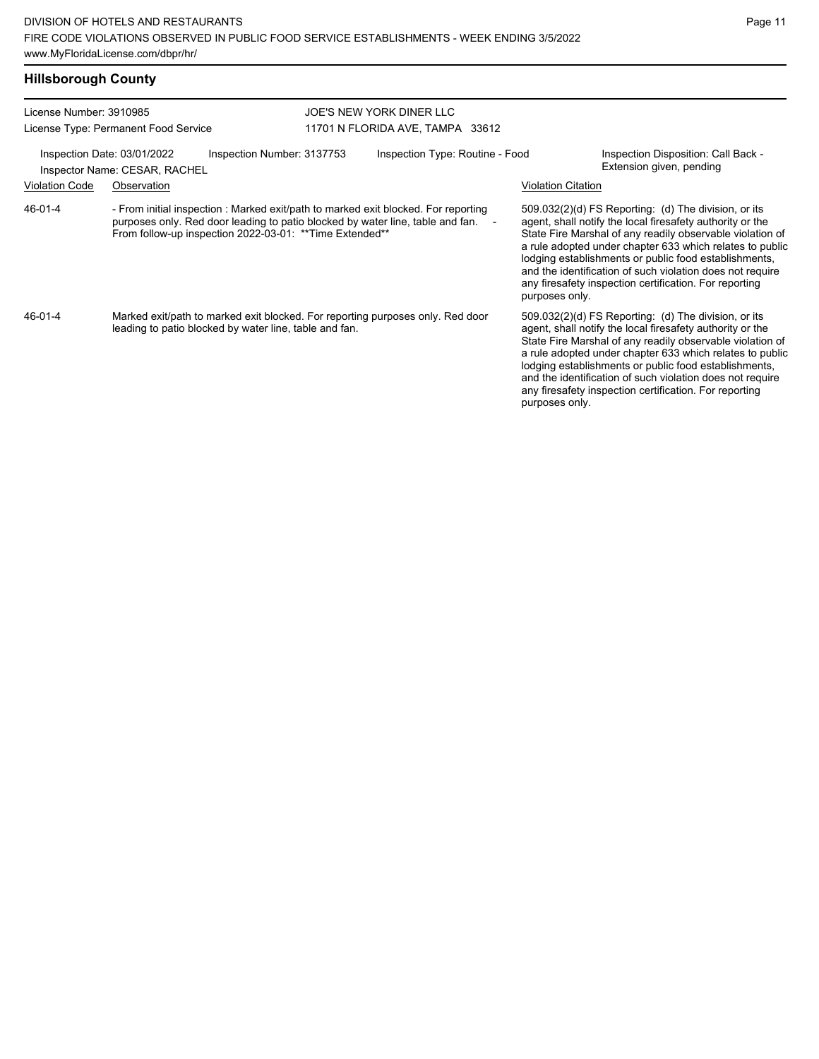| License Number: 3910985 |                                                                                                                                                                                                                                    | JOE'S NEW YORK DINER LLC         |                           |                                                                                                                                                                                                                                                                                                                                                                                                                            |
|-------------------------|------------------------------------------------------------------------------------------------------------------------------------------------------------------------------------------------------------------------------------|----------------------------------|---------------------------|----------------------------------------------------------------------------------------------------------------------------------------------------------------------------------------------------------------------------------------------------------------------------------------------------------------------------------------------------------------------------------------------------------------------------|
|                         | License Type: Permanent Food Service                                                                                                                                                                                               | 11701 N FLORIDA AVE, TAMPA 33612 |                           |                                                                                                                                                                                                                                                                                                                                                                                                                            |
|                         | Inspection Number: 3137753<br>Inspection Date: 03/01/2022<br>Inspector Name: CESAR, RACHEL                                                                                                                                         | Inspection Type: Routine - Food  |                           | Inspection Disposition: Call Back -<br>Extension given, pending                                                                                                                                                                                                                                                                                                                                                            |
| <b>Violation Code</b>   | Observation                                                                                                                                                                                                                        |                                  | <b>Violation Citation</b> |                                                                                                                                                                                                                                                                                                                                                                                                                            |
| 46-01-4                 | - From initial inspection : Marked exit/path to marked exit blocked. For reporting<br>purposes only. Red door leading to patio blocked by water line, table and fan. -<br>From follow-up inspection 2022-03-01: ** Time Extended** |                                  | purposes only.            | 509.032(2)(d) FS Reporting: (d) The division, or its<br>agent, shall notify the local firesafety authority or the<br>State Fire Marshal of any readily observable violation of<br>a rule adopted under chapter 633 which relates to public<br>lodging establishments or public food establishments,<br>and the identification of such violation does not require<br>any firesafety inspection certification. For reporting |
| 46-01-4                 | Marked exit/path to marked exit blocked. For reporting purposes only. Red door<br>leading to patio blocked by water line, table and fan.                                                                                           |                                  | purposes only.            | 509.032(2)(d) FS Reporting: (d) The division, or its<br>agent, shall notify the local firesafety authority or the<br>State Fire Marshal of any readily observable violation of<br>a rule adopted under chapter 633 which relates to public<br>lodging establishments or public food establishments,<br>and the identification of such violation does not require<br>any firesafety inspection certification. For reporting |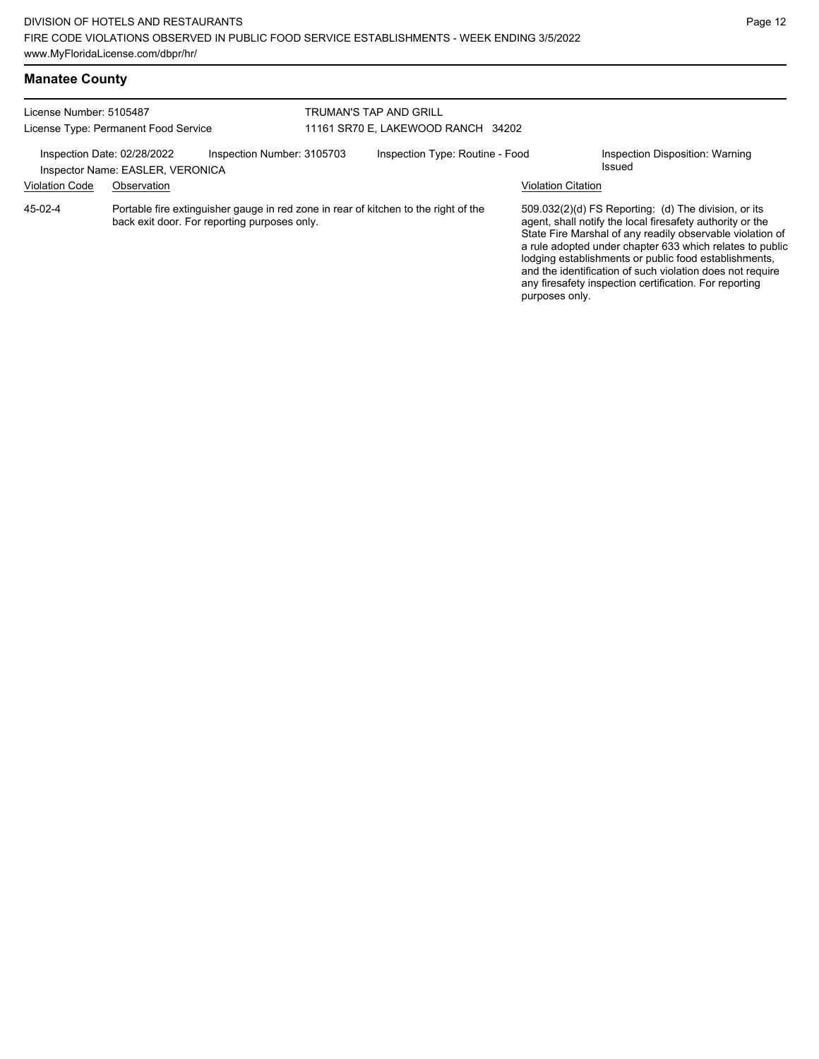| <b>Manatee County</b> |  |
|-----------------------|--|
|-----------------------|--|

| License Number: 5105487<br>License Type: Permanent Food Service |                                                 |                                              | <b>TRUMAN'S TAP AND GRILL</b><br>11161 SR70 E, LAKEWOOD RANCH 34202 |                                                                                     |                           |                                                                                                                                                                                                                                                                                                                                                                                                                            |  |
|-----------------------------------------------------------------|-------------------------------------------------|----------------------------------------------|---------------------------------------------------------------------|-------------------------------------------------------------------------------------|---------------------------|----------------------------------------------------------------------------------------------------------------------------------------------------------------------------------------------------------------------------------------------------------------------------------------------------------------------------------------------------------------------------------------------------------------------------|--|
| Inspection Date: 02/28/2022<br><b>Violation Code</b>            | Inspector Name: EASLER, VERONICA<br>Observation | Inspection Number: 3105703                   |                                                                     | Inspection Type: Routine - Food                                                     | <b>Violation Citation</b> | Inspection Disposition: Warning<br>Issued                                                                                                                                                                                                                                                                                                                                                                                  |  |
| $45-02-4$                                                       |                                                 | back exit door. For reporting purposes only. |                                                                     | Portable fire extinguisher gauge in red zone in rear of kitchen to the right of the | purposes only.            | 509.032(2)(d) FS Reporting: (d) The division, or its<br>agent, shall notify the local firesafety authority or the<br>State Fire Marshal of any readily observable violation of<br>a rule adopted under chapter 633 which relates to public<br>lodging establishments or public food establishments,<br>and the identification of such violation does not require<br>any firesafety inspection certification. For reporting |  |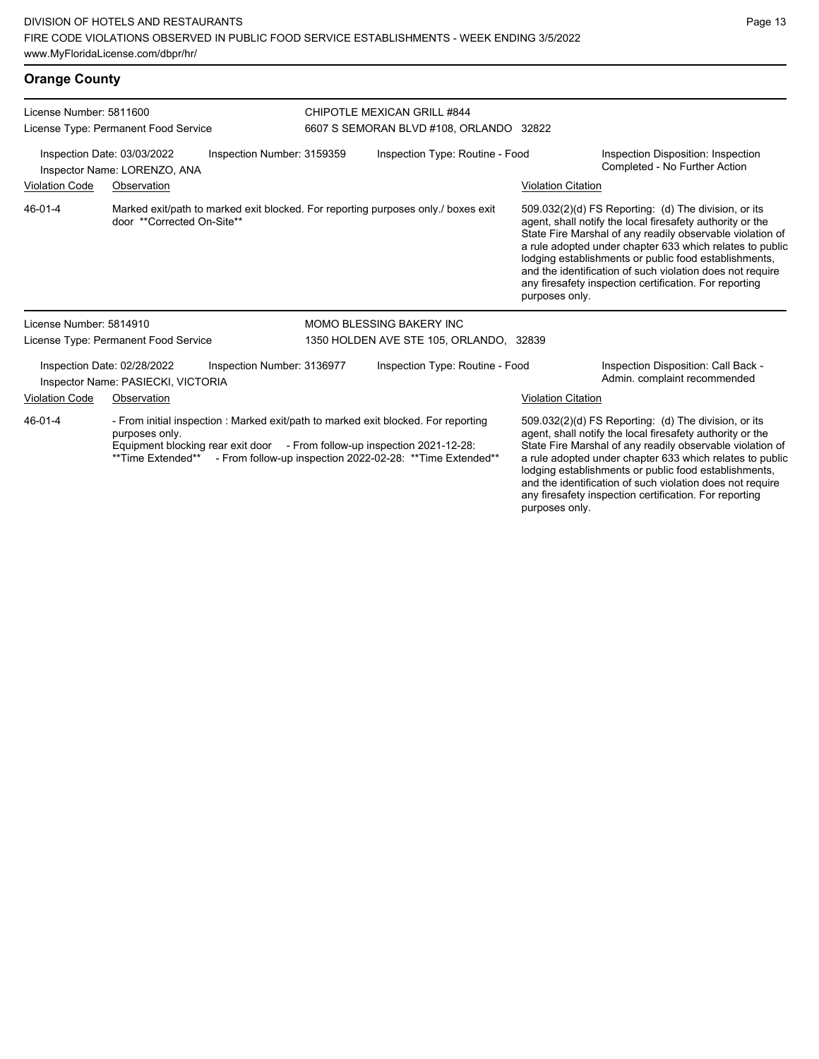## **Orange County**

| License Number: 5811600                                                                   |                                                                   |                                                                           |                                 | <b>CHIPOTLE MEXICAN GRILL #844</b>                                                                                                               |                           |                                                                                                                                                                                                                                                                                                                                                                                                                            |
|-------------------------------------------------------------------------------------------|-------------------------------------------------------------------|---------------------------------------------------------------------------|---------------------------------|--------------------------------------------------------------------------------------------------------------------------------------------------|---------------------------|----------------------------------------------------------------------------------------------------------------------------------------------------------------------------------------------------------------------------------------------------------------------------------------------------------------------------------------------------------------------------------------------------------------------------|
|                                                                                           | License Type: Permanent Food Service                              |                                                                           |                                 | 6607 S SEMORAN BLVD #108, ORLANDO 32822                                                                                                          |                           |                                                                                                                                                                                                                                                                                                                                                                                                                            |
| Inspection Date: 03/03/2022<br>Inspection Number: 3159359<br>Inspector Name: LORENZO, ANA |                                                                   |                                                                           | Inspection Type: Routine - Food |                                                                                                                                                  |                           | Inspection Disposition: Inspection<br>Completed - No Further Action                                                                                                                                                                                                                                                                                                                                                        |
| <b>Violation Code</b>                                                                     | Observation                                                       |                                                                           |                                 |                                                                                                                                                  | <b>Violation Citation</b> |                                                                                                                                                                                                                                                                                                                                                                                                                            |
| 46-01-4                                                                                   | door **Corrected On-Site**                                        |                                                                           |                                 | Marked exit/path to marked exit blocked. For reporting purposes only./ boxes exit                                                                | purposes only.            | 509.032(2)(d) FS Reporting: (d) The division, or its<br>agent, shall notify the local firesafety authority or the<br>State Fire Marshal of any readily observable violation of<br>a rule adopted under chapter 633 which relates to public<br>lodging establishments or public food establishments,<br>and the identification of such violation does not require<br>any firesafety inspection certification. For reporting |
| License Number: 5814910                                                                   |                                                                   |                                                                           |                                 | MOMO BLESSING BAKERY INC                                                                                                                         |                           |                                                                                                                                                                                                                                                                                                                                                                                                                            |
|                                                                                           | License Type: Permanent Food Service                              |                                                                           |                                 | 1350 HOLDEN AVE STE 105, ORLANDO, 32839                                                                                                          |                           |                                                                                                                                                                                                                                                                                                                                                                                                                            |
|                                                                                           | Inspection Date: 02/28/2022<br>Inspector Name: PASIECKI, VICTORIA | Inspection Number: 3136977                                                |                                 | Inspection Type: Routine - Food                                                                                                                  |                           | Inspection Disposition: Call Back -<br>Admin. complaint recommended                                                                                                                                                                                                                                                                                                                                                        |
| <b>Violation Code</b>                                                                     | Observation                                                       |                                                                           |                                 |                                                                                                                                                  | <b>Violation Citation</b> |                                                                                                                                                                                                                                                                                                                                                                                                                            |
| 46-01-4                                                                                   | purposes only.<br>**Time Extended**                               | Equipment blocking rear exit door - From follow-up inspection 2021-12-28: |                                 | - From initial inspection : Marked exit/path to marked exit blocked. For reporting<br>- From follow-up inspection 2022-02-28: ** Time Extended** |                           | 509.032(2)(d) FS Reporting: (d) The division, or its<br>agent, shall notify the local firesafety authority or the<br>State Fire Marshal of any readily observable violation of<br>a rule adopted under chapter 633 which relates to public<br>lodging establishments or public food establishments,<br>and the identification of such violation does not require<br>any firesafety inspection certification. For reporting |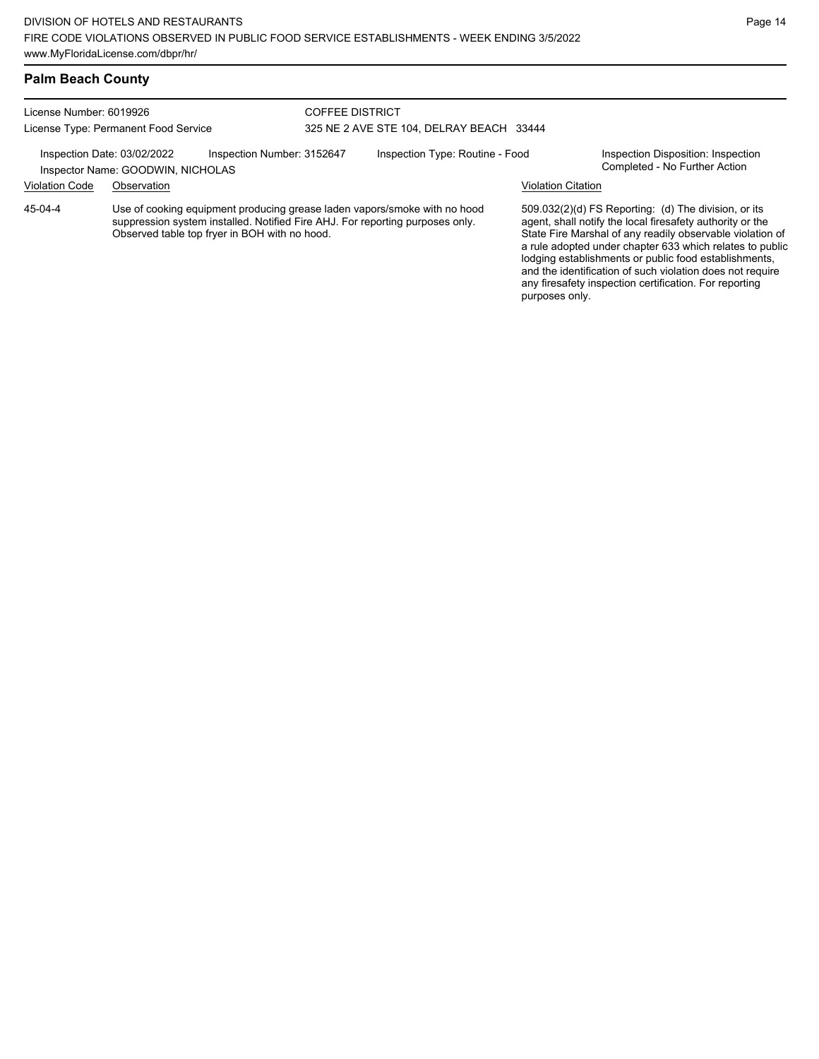### **Palm Beach County**

License Number: 6019926 License Type: Permanent Food Service

#### COFFEE DISTRICT 325 NE 2 AVE STE 104, DELRAY BEACH 33444

Inspection Date: 03/02/2022 Inspection Number: 3152647 Inspection Type: Routine - Food Inspection Disposition: Inspection<br>Inspector Name: GOODWIN NICHOLAS

Inspector Name: GOODWIN, NICHOLAS Violation Code Observation Violation Citation

Use of cooking equipment producing grease laden vapors/smoke with no hood suppression system installed. Notified Fire AHJ. For reporting purposes only. Observed table top fryer in BOH with no hood. 45-04-4

509.032(2)(d) FS Reporting: (d) The division, or its agent, shall notify the local firesafety authority or the State Fire Marshal of any readily observable violation of a rule adopted under chapter 633 which relates to public lodging establishments or public food establishments, and the identification of such violation does not require any firesafety inspection certification. For reporting purposes only.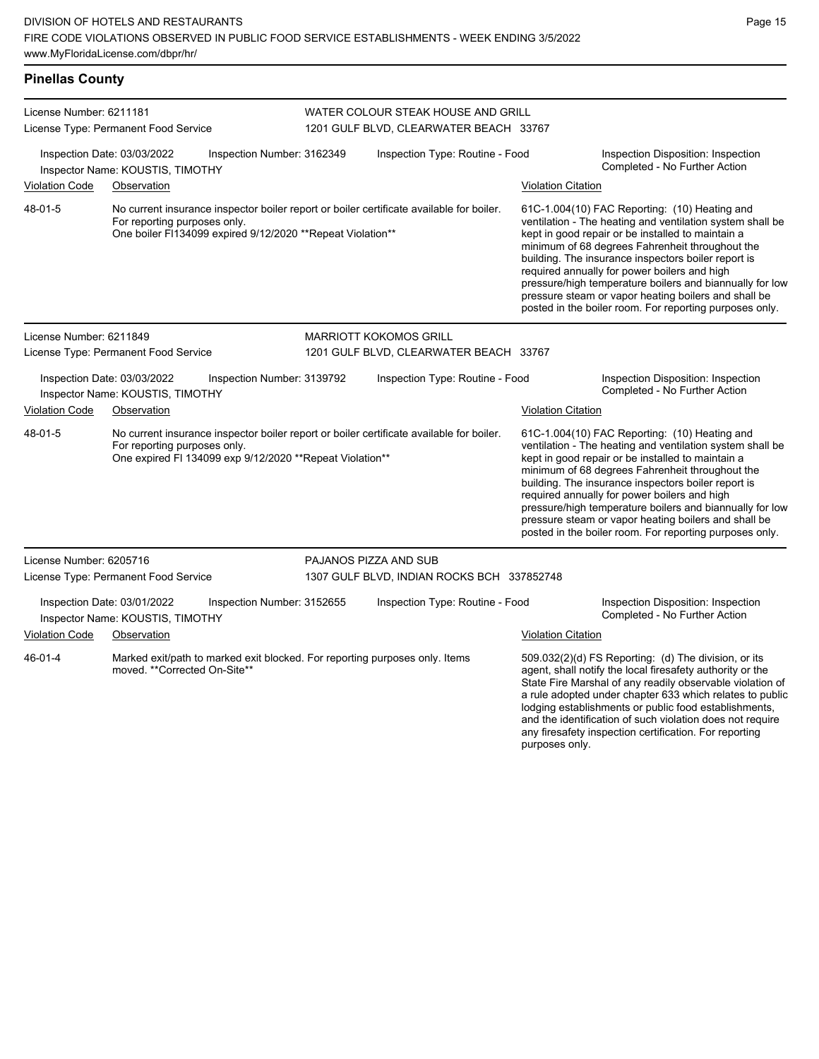| <b>Pinellas County</b>                                                                        |                                                                                             |                                                           |                                                                                          |                                                                                          |                                                                     |                                                                                                                                                                                                                                                                                                                                                                                                                                                                                                          |
|-----------------------------------------------------------------------------------------------|---------------------------------------------------------------------------------------------|-----------------------------------------------------------|------------------------------------------------------------------------------------------|------------------------------------------------------------------------------------------|---------------------------------------------------------------------|----------------------------------------------------------------------------------------------------------------------------------------------------------------------------------------------------------------------------------------------------------------------------------------------------------------------------------------------------------------------------------------------------------------------------------------------------------------------------------------------------------|
| License Number: 6211181                                                                       | License Type: Permanent Food Service                                                        |                                                           |                                                                                          | WATER COLOUR STEAK HOUSE AND GRILL<br>1201 GULF BLVD, CLEARWATER BEACH 33767             |                                                                     |                                                                                                                                                                                                                                                                                                                                                                                                                                                                                                          |
| Inspection Date: 03/03/2022<br>Inspection Number: 3162349<br>Inspector Name: KOUSTIS, TIMOTHY |                                                                                             |                                                           | Inspection Type: Routine - Food                                                          |                                                                                          |                                                                     | Inspection Disposition: Inspection<br>Completed - No Further Action                                                                                                                                                                                                                                                                                                                                                                                                                                      |
| <b>Violation Code</b>                                                                         | Observation                                                                                 |                                                           |                                                                                          |                                                                                          | <b>Violation Citation</b>                                           |                                                                                                                                                                                                                                                                                                                                                                                                                                                                                                          |
| 48-01-5                                                                                       | For reporting purposes only.<br>One boiler FI134099 expired 9/12/2020 ** Repeat Violation** |                                                           | No current insurance inspector boiler report or boiler certificate available for boiler. |                                                                                          |                                                                     | 61C-1.004(10) FAC Reporting: (10) Heating and<br>ventilation - The heating and ventilation system shall be<br>kept in good repair or be installed to maintain a<br>minimum of 68 degrees Fahrenheit throughout the<br>building. The insurance inspectors boiler report is<br>required annually for power boilers and high<br>pressure/high temperature boilers and biannually for low<br>pressure steam or vapor heating boilers and shall be<br>posted in the boiler room. For reporting purposes only. |
| License Number: 6211849                                                                       |                                                                                             |                                                           |                                                                                          | <b>MARRIOTT KOKOMOS GRILL</b>                                                            |                                                                     |                                                                                                                                                                                                                                                                                                                                                                                                                                                                                                          |
| License Type: Permanent Food Service                                                          |                                                                                             |                                                           | 1201 GULF BLVD, CLEARWATER BEACH 33767                                                   |                                                                                          |                                                                     |                                                                                                                                                                                                                                                                                                                                                                                                                                                                                                          |
| Inspection Date: 03/03/2022<br>Inspection Number: 3139792<br>Inspector Name: KOUSTIS, TIMOTHY |                                                                                             |                                                           | Inspection Type: Routine - Food                                                          |                                                                                          | Inspection Disposition: Inspection<br>Completed - No Further Action |                                                                                                                                                                                                                                                                                                                                                                                                                                                                                                          |
| <b>Violation Code</b>                                                                         | Observation                                                                                 |                                                           |                                                                                          |                                                                                          | <b>Violation Citation</b>                                           |                                                                                                                                                                                                                                                                                                                                                                                                                                                                                                          |
| 48-01-5                                                                                       | For reporting purposes only.                                                                | One expired FI 134099 exp 9/12/2020 ** Repeat Violation** |                                                                                          | No current insurance inspector boiler report or boiler certificate available for boiler. |                                                                     | 61C-1.004(10) FAC Reporting: (10) Heating and<br>ventilation - The heating and ventilation system shall be<br>kept in good repair or be installed to maintain a<br>minimum of 68 degrees Fahrenheit throughout the<br>building. The insurance inspectors boiler report is<br>required annually for power boilers and high<br>pressure/high temperature boilers and biannually for low<br>pressure steam or vapor heating boilers and shall be<br>posted in the boiler room. For reporting purposes only. |
| License Number: 6205716                                                                       |                                                                                             |                                                           |                                                                                          | PAJANOS PIZZA AND SUB                                                                    |                                                                     |                                                                                                                                                                                                                                                                                                                                                                                                                                                                                                          |
| License Type: Permanent Food Service                                                          |                                                                                             | 1307 GULF BLVD, INDIAN ROCKS BCH 337852748                |                                                                                          |                                                                                          |                                                                     |                                                                                                                                                                                                                                                                                                                                                                                                                                                                                                          |
|                                                                                               | Inspection Date: 03/01/2022<br>Inspector Name: KOUSTIS, TIMOTHY                             | Inspection Number: 3152655                                |                                                                                          | Inspection Type: Routine - Food                                                          |                                                                     | Inspection Disposition: Inspection<br>Completed - No Further Action                                                                                                                                                                                                                                                                                                                                                                                                                                      |
| <b>Violation Code</b>                                                                         | Observation                                                                                 |                                                           |                                                                                          |                                                                                          | <b>Violation Citation</b>                                           |                                                                                                                                                                                                                                                                                                                                                                                                                                                                                                          |
| 46-01-4                                                                                       | moved. **Corrected On-Site**                                                                |                                                           |                                                                                          | Marked exit/path to marked exit blocked. For reporting purposes only. Items              |                                                                     | 509.032(2)(d) FS Reporting: (d) The division, or its<br>agent, shall notify the local firesafety authority or the<br>State Fire Marshal of any readily observable violation of<br>a rule adopted under chapter 633 which relates to public                                                                                                                                                                                                                                                               |

lodging establishments or public food establishments, and the identification of such violation does not require any firesafety inspection certification. For reporting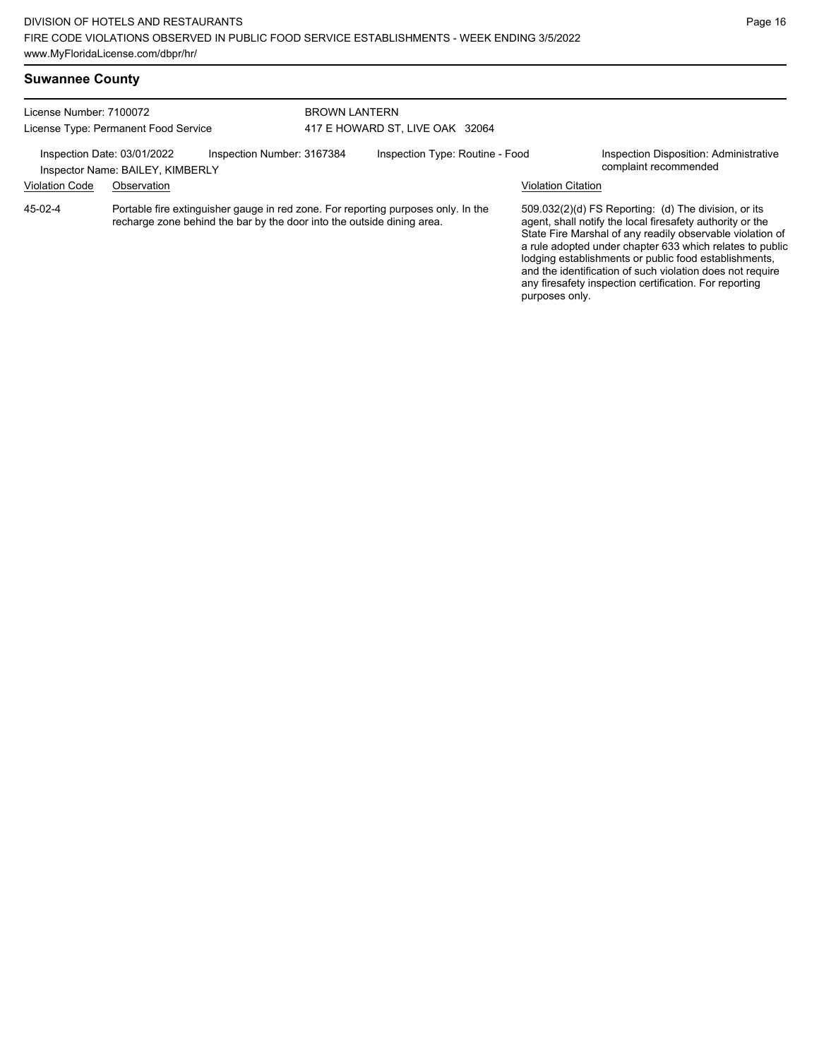| License Number: 7100072              |                                                                 | <b>BROWN LANTERN</b>                                                   |                                 |                                                                                   |                           |                                                                                                                                                                                                                                                                                                                                                                  |  |
|--------------------------------------|-----------------------------------------------------------------|------------------------------------------------------------------------|---------------------------------|-----------------------------------------------------------------------------------|---------------------------|------------------------------------------------------------------------------------------------------------------------------------------------------------------------------------------------------------------------------------------------------------------------------------------------------------------------------------------------------------------|--|
| License Type: Permanent Food Service |                                                                 |                                                                        | 417 E HOWARD ST, LIVE OAK 32064 |                                                                                   |                           |                                                                                                                                                                                                                                                                                                                                                                  |  |
|                                      | Inspection Date: 03/01/2022<br>Inspector Name: BAILEY, KIMBERLY | Inspection Number: 3167384                                             |                                 | Inspection Type: Routine - Food                                                   |                           | Inspection Disposition: Administrative<br>complaint recommended                                                                                                                                                                                                                                                                                                  |  |
| <b>Violation Code</b>                | Observation                                                     |                                                                        |                                 |                                                                                   | <b>Violation Citation</b> |                                                                                                                                                                                                                                                                                                                                                                  |  |
| 45-02-4                              |                                                                 | recharge zone behind the bar by the door into the outside dining area. |                                 | Portable fire extinguisher gauge in red zone. For reporting purposes only. In the |                           | 509.032(2)(d) FS Reporting: (d) The division, or its<br>agent, shall notify the local firesafety authority or the<br>State Fire Marshal of any readily observable violation of<br>a rule adopted under chapter 633 which relates to public<br>lodging establishments or public food establishments,<br>and the identification of such violation does not require |  |

any firesafety inspection certification. For reporting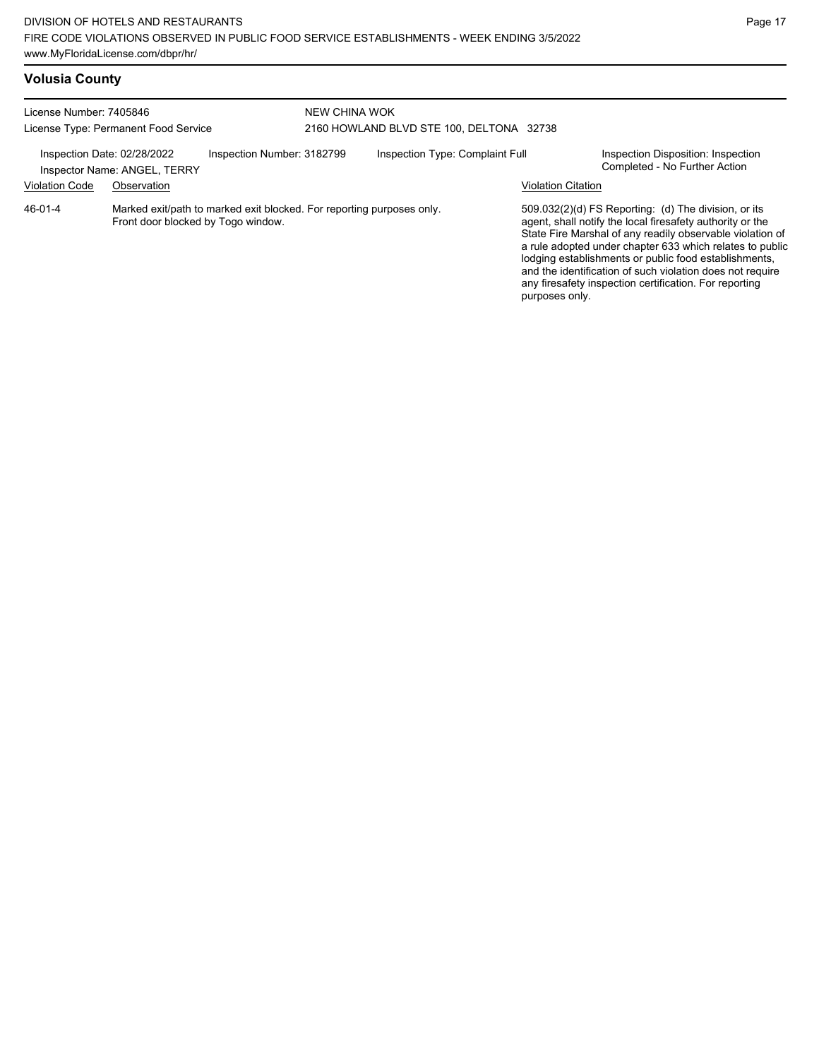| License Number: 7405846<br>License Type: Permanent Food Service<br>Inspection Number: 3182799<br>Inspection Date: 02/28/2022<br>Inspector Name: ANGEL, TERRY |             |  | NEW CHINA WOK<br>2160 HOWLAND BLVD STE 100, DELTONA 32738 |  |                           |                                                                                                                                                                                                                                                                                                                                                                                                                            |  |
|--------------------------------------------------------------------------------------------------------------------------------------------------------------|-------------|--|-----------------------------------------------------------|--|---------------------------|----------------------------------------------------------------------------------------------------------------------------------------------------------------------------------------------------------------------------------------------------------------------------------------------------------------------------------------------------------------------------------------------------------------------------|--|
|                                                                                                                                                              |             |  | Inspection Type: Complaint Full                           |  |                           | Inspection Disposition: Inspection<br>Completed - No Further Action                                                                                                                                                                                                                                                                                                                                                        |  |
| <b>Violation Code</b>                                                                                                                                        | Observation |  |                                                           |  | <b>Violation Citation</b> |                                                                                                                                                                                                                                                                                                                                                                                                                            |  |
| Marked exit/path to marked exit blocked. For reporting purposes only.<br>46-01-4<br>Front door blocked by Togo window.                                       |             |  |                                                           |  | purposes only.            | 509.032(2)(d) FS Reporting: (d) The division, or its<br>agent, shall notify the local firesafety authority or the<br>State Fire Marshal of any readily observable violation of<br>a rule adopted under chapter 633 which relates to public<br>lodging establishments or public food establishments,<br>and the identification of such violation does not require<br>any firesafety inspection certification. For reporting |  |